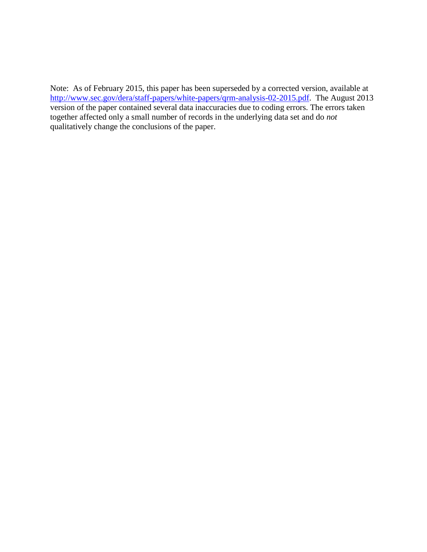Note: As of February 2015, this paper has been superseded by a corrected version, available at [http://www.sec.gov/dera/staff-papers/white-papers/qrm-analysis-02-2015.pdf.](http://www.sec.gov/dera/staff-papers/white-papers/qrm-analysis-02-2015.pdf) The August 2013 version of the paper contained several data inaccuracies due to coding errors. The errors taken together affected only a small number of records in the underlying data set and do *not* qualitatively change the conclusions of the paper.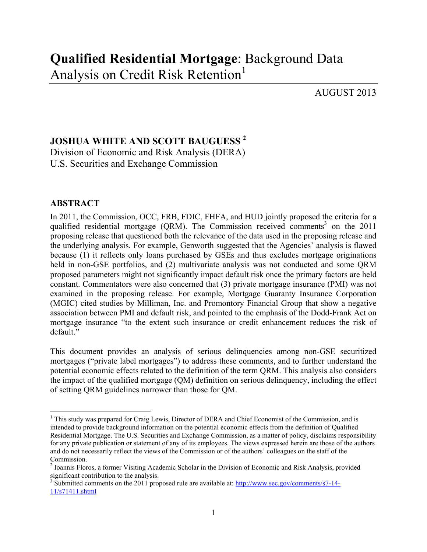AUGUST 2013

# **JOSHUA WHITE AND SCOTT BAUGUESS <sup>2</sup>**

Division of Economic and Risk Analysis (DERA) U.S. Securities and Exchange Commission

## **ABSTRACT**

In 2011, the Commission, OCC, FRB, FDIC, FHFA, and HUD jointly proposed the criteria for a qualified residential mortgage (QRM). The Commission received comments<sup>3</sup> on the  $2011$ proposing release that questioned both the relevance of the data used in the proposing release and the underlying analysis. For example, Genworth suggested that the Agencies' analysis is flawed because (1) it reflects only loans purchased by GSEs and thus excludes mortgage originations held in non-GSE portfolios, and (2) multivariate analysis was not conducted and some QRM proposed parameters might not significantly impact default risk once the primary factors are held constant. Commentators were also concerned that (3) private mortgage insurance (PMI) was not examined in the proposing release. For example, Mortgage Guaranty Insurance Corporation (MGIC) cited studies by Milliman, Inc. and Promontory Financial Group that show a negative association between PMI and default risk, and pointed to the emphasis of the Dodd-Frank Act on mortgage insurance "to the extent such insurance or credit enhancement reduces the risk of default."

This document provides an analysis of serious delinquencies among non-GSE securitized mortgages ("private label mortgages") to address these comments, and to further understand the potential economic effects related to the definition of the term QRM. This analysis also considers the impact of the qualified mortgage (QM) definition on serious delinquency, including the effect of setting QRM guidelines narrower than those for QM.

<sup>1</sup> <sup>1</sup> This study was prepared for Craig Lewis, Director of DERA and Chief Economist of the Commission, and is intended to provide background information on the potential economic effects from the definition of Qualified Residential Mortgage. The U.S. Securities and Exchange Commission, as a matter of policy, disclaims responsibility for any private publication or statement of any of its employees. The views expressed herein are those of the authors and do not necessarily reflect the views of the Commission or of the authors' colleagues on the staff of the Commission.

<sup>&</sup>lt;sup>2</sup> Ioannis Floros, a former Visiting Academic Scholar in the Division of Economic and Risk Analysis, provided significant contribution to the analysis.

 $3 \text{ Submitted comments on the 2011 proposed rule are available at: [http://www.sec.gov/comments/s7-14-14](http://www.sec.gov/comments/s7-14-14-14)$ 11/s71411.shtml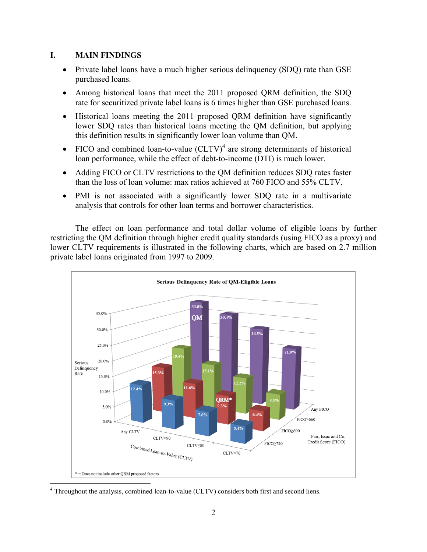### **I. MAIN FINDINGS**

- Private label loans have a much higher serious delinquency (SDO) rate than GSE purchased loans.
- Among historical loans that meet the 2011 proposed QRM definition, the SDQ rate for securitized private label loans is 6 times higher than GSE purchased loans.
- Historical loans meeting the 2011 proposed QRM definition have significantly lower SDQ rates than historical loans meeting the QM definition, but applying this definition results in significantly lower loan volume than QM.
- FICO and combined loan-to-value  $(CLTV)^4$  are strong determinants of historical loan performance, while the effect of debt-to-income (DTI) is much lower.
- Adding FICO or CLTV restrictions to the QM definition reduces SDQ rates faster than the loss of loan volume: max ratios achieved at 760 FICO and 55% CLTV.
- PMI is not associated with a significantly lower SDQ rate in a multivariate analysis that controls for other loan terms and borrower characteristics.

The effect on loan performance and total dollar volume of eligible loans by further restricting the QM definition through higher credit quality standards (using FICO as a proxy) and lower CLTV requirements is illustrated in the following charts, which are based on 2.7 million private label loans originated from 1997 to 2009.



4 Throughout the analysis, combined loan-to-value (CLTV) considers both first and second liens.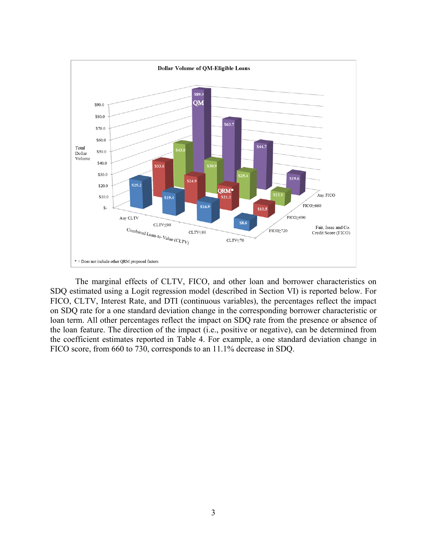

The marginal effects of CLTV, FICO, and other loan and borrower characteristics on SDQ estimated using a Logit regression model (described in Section VI) is reported below. For FICO, CLTV, Interest Rate, and DTI (continuous variables), the percentages reflect the impact on SDQ rate for a one standard deviation change in the corresponding borrower characteristic or loan term. All other percentages reflect the impact on SDQ rate from the presence or absence of the loan feature. The direction of the impact (i.e., positive or negative), can be determined from the coefficient estimates reported in Table 4. For example, a one standard deviation change in FICO score, from 660 to 730, corresponds to an 11.1% decrease in SDQ.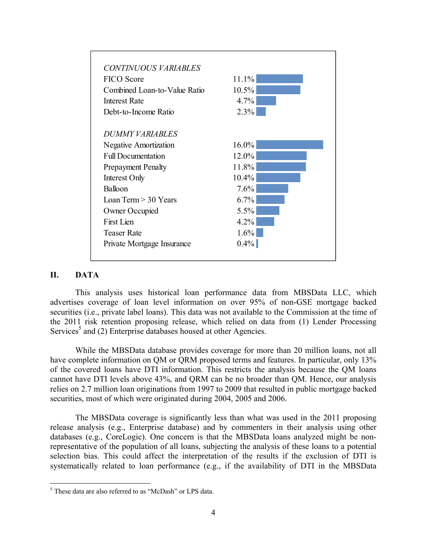

### **II. DATA**

This analysis uses historical loan performance data from MBSData LLC, which advertises coverage of loan level information on over 95% of non-GSE mortgage backed securities (i.e., private label loans). This data was not available to the Commission at the time of the 2011 risk retention proposing release, which relied on data from (1) Lender Processing Services<sup>5</sup> and (2) Enterprise databases housed at other Agencies.

While the MBSData database provides coverage for more than 20 million loans, not all have complete information on QM or QRM proposed terms and features. In particular, only 13% of the covered loans have DTI information. This restricts the analysis because the QM loans cannot have DTI levels above 43%, and QRM can be no broader than QM. Hence, our analysis relies on 2.7 million loan originations from 1997 to 2009 that resulted in public mortgage backed securities, most of which were originated during 2004, 2005 and 2006.

The MBSData coverage is significantly less than what was used in the 2011 proposing release analysis (e.g., Enterprise database) and by commenters in their analysis using other databases (e.g., CoreLogic). One concern is that the MBSData loans analyzed might be nonrepresentative of the population of all loans, subjecting the analysis of these loans to a potential selection bias. This could affect the interpretation of the results if the exclusion of DTI is systematically related to loan performance (e.g., if the availability of DTI in the MBSData

 5 These data are also referred to as "McDash" or LPS data.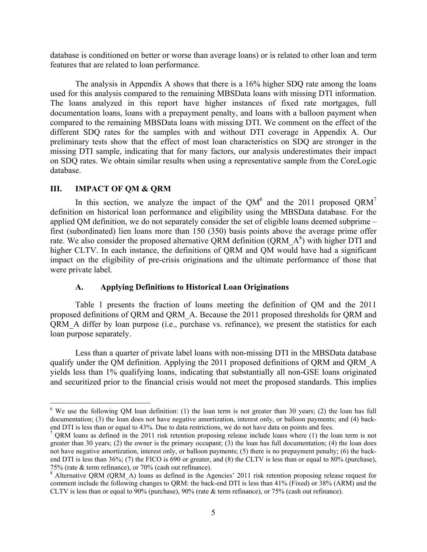database is conditioned on better or worse than average loans) or is related to other loan and term features that are related to loan performance.

The analysis in Appendix A shows that there is a 16% higher SDQ rate among the loans used for this analysis compared to the remaining MBSData loans with missing DTI information. The loans analyzed in this report have higher instances of fixed rate mortgages, full documentation loans, loans with a prepayment penalty, and loans with a balloon payment when compared to the remaining MBSData loans with missing DTI. We comment on the effect of the different SDQ rates for the samples with and without DTI coverage in Appendix A. Our preliminary tests show that the effect of most loan characteristics on SDQ are stronger in the missing DTI sample, indicating that for many factors, our analysis underestimates their impact on SDQ rates. We obtain similar results when using a representative sample from the CoreLogic database.

#### **III. IMPACT OF QM & QRM**

 $\overline{a}$ 

In this section, we analyze the impact of the QM<sup>6</sup> and the 2011 proposed QRM<sup>7</sup> definition on historical loan performance and eligibility using the MBSData database. For the applied QM definition, we do not separately consider the set of eligible loans deemed subprime – first (subordinated) lien loans more than 150 (350) basis points above the average prime offer rate. We also consider the proposed alternative QRM definition (QRM  $A^8$ ) with higher DTI and higher CLTV. In each instance, the definitions of QRM and QM would have had a significant impact on the eligibility of pre-crisis originations and the ultimate performance of those that were private label.

#### **A. Applying Definitions to Historical Loan Originations**

Table 1 presents the fraction of loans meeting the definition of QM and the 2011 proposed definitions of QRM and QRM\_A. Because the 2011 proposed thresholds for QRM and QRM\_A differ by loan purpose (i.e., purchase vs. refinance), we present the statistics for each loan purpose separately.

Less than a quarter of private label loans with non-missing DTI in the MBSData database qualify under the QM definition. Applying the 2011 proposed definitions of QRM and QRM\_A yields less than 1% qualifying loans, indicating that substantially all non-GSE loans originated and securitized prior to the financial crisis would not meet the proposed standards. This implies

 $6$  We use the following QM loan definition: (1) the loan term is not greater than 30 years; (2) the loan has full documentation; (3) the loan does not have negative amortization, interest only, or balloon payments; and (4) backend DTI is less than or equal to 43%. Due to data restrictions, we do not have data on points and fees.

 $\sqrt{q}$  QRM loans as defined in the 2011 risk retention proposing release include loans where (1) the loan term is not greater than 30 years; (2) the owner is the primary occupant; (3) the loan has full documentation; (4) the loan does not have negative amortization, interest only, or balloon payments; (5) there is no prepayment penalty; (6) the backend DTI is less than 36%; (7) the FICO is 690 or greater, and (8) the CLTV is less than or equal to 80% (purchase), 75% (rate & term refinance), or 70% (cash out refinance).

<sup>&</sup>lt;sup>8</sup> Alternative QRM (QRM A) loans as defined in the Agencies' 2011 risk retention proposing release request for comment include the following changes to QRM: the back-end DTI is less than 41% (Fixed) or 38% (ARM) and the CLTV is less than or equal to 90% (purchase), 90% (rate & term refinance), or 75% (cash out refinance).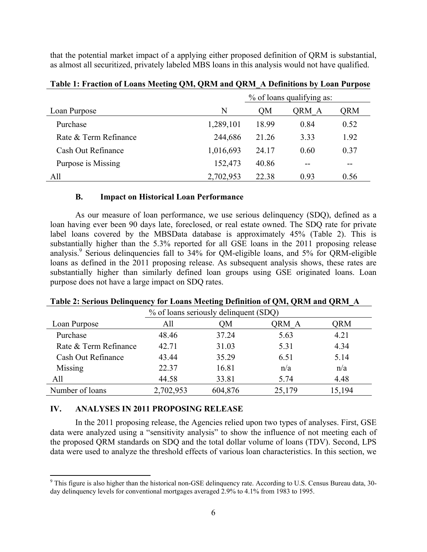that the potential market impact of a applying either proposed definition of QRM is substantial, as almost all securitized, privately labeled MBS loans in this analysis would not have qualified.

|                       |           | % of loans qualifying as: |       |       |  |
|-----------------------|-----------|---------------------------|-------|-------|--|
| Loan Purpose          | N         | OΜ                        | QRM A | QRM   |  |
| Purchase              | 1,289,101 | 18.99                     | 0.84  | 0.52  |  |
| Rate & Term Refinance | 244,686   | 21.26                     | 3.33  | 1.92  |  |
| Cash Out Refinance    | 1,016,693 | 24 17                     | 0.60  | 0.37  |  |
| Purpose is Missing    | 152,473   | 40.86                     | $- -$ | $- -$ |  |
| All                   | 2,702,953 | 22.38                     | 0.93  | 0.56  |  |

#### **Table 1: Fraction of Loans Meeting QM, QRM and QRM\_A Definitions by Loan Purpose**

#### **B. Impact on Historical Loan Performance**

As our measure of loan performance, we use serious delinquency (SDQ), defined as a loan having ever been 90 days late, foreclosed, or real estate owned. The SDQ rate for private label loans covered by the MBSData database is approximately 45% (Table 2). This is substantially higher than the 5.3% reported for all GSE loans in the 2011 proposing release analysis.<sup>9</sup> Serious delinquencies fall to 34% for QM-eligible loans, and 5% for QRM-eligible loans as defined in the 2011 proposing release. As subsequent analysis shows, these rates are substantially higher than similarly defined loan groups using GSE originated loans. Loan purpose does not have a large impact on SDQ rates.

| % of loans seriously delinquent (SDQ) |           |         |        |        |  |  |
|---------------------------------------|-----------|---------|--------|--------|--|--|
| Loan Purpose                          | All       | OM      | QRM A  | QRM    |  |  |
| Purchase                              | 48.46     | 37.24   | 5.63   | 4.21   |  |  |
| Rate & Term Refinance                 | 42.71     | 31.03   | 5.31   | 4.34   |  |  |
| Cash Out Refinance                    | 43.44     | 35.29   | 6.51   | 5.14   |  |  |
| Missing                               | 22.37     | 16.81   | n/a    | n/a    |  |  |
| All                                   | 44.58     | 33.81   | 5.74   | 4.48   |  |  |
| Number of loans                       | 2,702,953 | 604,876 | 25,179 | 15,194 |  |  |

#### **Table 2: Serious Delinquency for Loans Meeting Definition of QM, QRM and QRM\_A**

#### **IV. ANALYSES IN 2011 PROPOSING RELEASE**

In the 2011 proposing release, the Agencies relied upon two types of analyses. First, GSE data were analyzed using a "sensitivity analysis" to show the influence of not meeting each of the proposed QRM standards on SDQ and the total dollar volume of loans (TDV). Second, LPS data were used to analyze the threshold effects of various loan characteristics. In this section, we

<sup>&</sup>lt;sup>9</sup> This figure is also higher than the historical non-GSE delinquency rate. According to U.S. Census Bureau data, 30day delinquency levels for conventional mortgages averaged 2.9% to 4.1% from 1983 to 1995.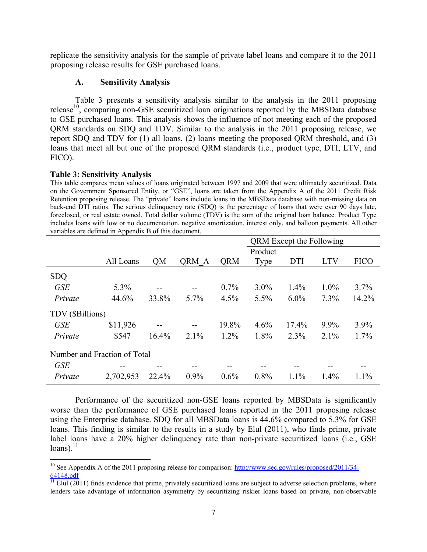replicate the sensitivity analysis for the sample of private label loans and compare it to the 2011 proposing release results for GSE purchased loans.

### **A. Sensitivity Analysis**

Table 3 presents a sensitivity analysis similar to the analysis in the 2011 proposing release<sup>10</sup>, comparing non-GSE securitized loan originations reported by the MBSData database to GSE purchased loans. This analysis shows the influence of not meeting each of the proposed QRM standards on SDQ and TDV. Similar to the analysis in the 2011 proposing release, we report SDQ and TDV for (1) all loans, (2) loans meeting the proposed QRM threshold, and (3) loans that meet all but one of the proposed QRM standards (i.e., product type, DTI, LTV, and FICO).

### **Table 3: Sensitivity Analysis**

This table compares mean values of loans originated between 1997 and 2009 that were ultimately securitized. Data on the Government Sponsored Entity, or "GSE", loans are taken from the Appendix A of the 2011 Credit Risk Retention proposing release. The "private" loans include loans in the MBSData database with non-missing data on back-end DTI ratios. The serious delinquency rate (SDQ) is the percentage of loans that were ever 90 days late, foreclosed, or real estate owned. Total dollar volume (TDV) is the sum of the original loan balance. Product Type includes loans with low or no documentation, negative amortization, interest only, and balloon payments. All other variables are defined in Appendix B of this document.

|                              |           |           |              |            | <b>QRM</b> Except the Following |            |            |             |
|------------------------------|-----------|-----------|--------------|------------|---------------------------------|------------|------------|-------------|
|                              |           |           |              |            | Product                         |            |            |             |
|                              | All Loans | <b>OM</b> | <b>ORM A</b> | <b>QRM</b> | Type                            | <b>DTI</b> | <b>LTV</b> | <b>FICO</b> |
| <b>SDQ</b>                   |           |           |              |            |                                 |            |            |             |
| <b>GSE</b>                   | 5.3%      | $- -$     |              | $0.7\%$    | $3.0\%$                         | 1.4%       | $1.0\%$    | 3.7%        |
| Private                      | 44.6%     | 33.8%     | 5.7%         | 4.5%       | 5.5%                            | $6.0\%$    | 7.3%       | 14.2%       |
| TDV (\$Billions)             |           |           |              |            |                                 |            |            |             |
| <b>GSE</b>                   | \$11,926  |           |              | 19.8%      | 4.6%                            | 17.4%      | 9.9%       | $3.9\%$     |
| Private                      | \$547     | $16.4\%$  | $2.1\%$      | $1.2\%$    | 1.8%                            | 2.3%       | $2.1\%$    | 1.7%        |
| Number and Fraction of Total |           |           |              |            |                                 |            |            |             |
| <b>GSE</b>                   |           |           |              |            |                                 |            |            |             |
| Private                      | 2,702,953 | 22.4%     | $0.9\%$      | 0.6%       | 0.8%                            | 1.1%       | 1.4%       | 1.1%        |

Performance of the securitized non-GSE loans reported by MBSData is significantly worse than the performance of GSE purchased loans reported in the 2011 proposing release using the Enterprise database. SDQ for all MBSData loans is 44.6% compared to 5.3% for GSE loans. This finding is similar to the results in a study by Elul (2011), who finds prime, private label loans have a 20% higher delinquency rate than non-private securitized loans (i.e., GSE  $loans).<sup>11</sup>$ 

 $\overline{a}$ <sup>10</sup> See Appendix A of the 2011 proposing release for comparison: http://www.sec.gov/rules/proposed/2011/34-64148.pdf

 $11$  Elul (2011) finds evidence that prime, privately securitized loans are subject to adverse selection problems, where lenders take advantage of information asymmetry by securitizing riskier loans based on private, non-observable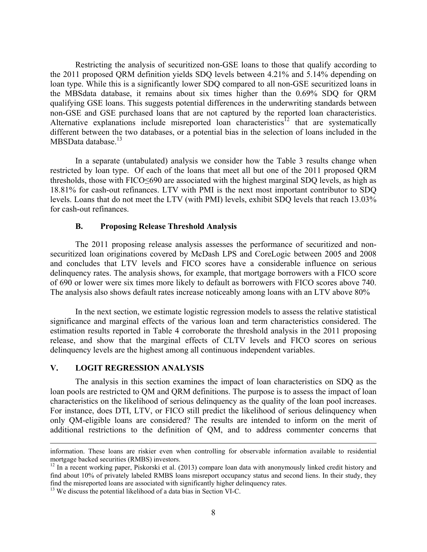Restricting the analysis of securitized non-GSE loans to those that qualify according to the 2011 proposed QRM definition yields SDQ levels between 4.21% and 5.14% depending on loan type. While this is a significantly lower SDQ compared to all non-GSE securitized loans in the MBSdata database, it remains about six times higher than the 0.69% SDQ for QRM qualifying GSE loans. This suggests potential differences in the underwriting standards between non-GSE and GSE purchased loans that are not captured by the reported loan characteristics. Alternative explanations include misreported loan characteristics<sup>12</sup> that are systematically different between the two databases, or a potential bias in the selection of loans included in the MBSData database.<sup>13</sup>

In a separate (untabulated) analysis we consider how the Table 3 results change when restricted by loan type. Of each of the loans that meet all but one of the 2011 proposed QRM thresholds, those with FICO≤690 are associated with the highest marginal SDQ levels, as high as 18.81% for cash-out refinances. LTV with PMI is the next most important contributor to SDQ levels. Loans that do not meet the LTV (with PMI) levels, exhibit SDQ levels that reach 13.03% for cash-out refinances.

### **B. Proposing Release Threshold Analysis**

The 2011 proposing release analysis assesses the performance of securitized and nonsecuritized loan originations covered by McDash LPS and CoreLogic between 2005 and 2008 and concludes that LTV levels and FICO scores have a considerable influence on serious delinquency rates. The analysis shows, for example, that mortgage borrowers with a FICO score of 690 or lower were six times more likely to default as borrowers with FICO scores above 740. The analysis also shows default rates increase noticeably among loans with an LTV above 80%

In the next section, we estimate logistic regression models to assess the relative statistical significance and marginal effects of the various loan and term characteristics considered. The estimation results reported in Table 4 corroborate the threshold analysis in the 2011 proposing release, and show that the marginal effects of CLTV levels and FICO scores on serious delinquency levels are the highest among all continuous independent variables.

### **V. LOGIT REGRESSION ANALYSIS**

The analysis in this section examines the impact of loan characteristics on SDQ as the loan pools are restricted to QM and QRM definitions. The purpose is to assess the impact of loan characteristics on the likelihood of serious delinquency as the quality of the loan pool increases. For instance, does DTI, LTV, or FICO still predict the likelihood of serious delinquency when only QM-eligible loans are considered? The results are intended to inform on the merit of additional restrictions to the definition of QM, and to address commenter concerns that

information. These loans are riskier even when controlling for observable information available to residential mortgage backed securities (RMBS) investors.

 $12$  In a recent working paper, Piskorski et al. (2013) compare loan data with anonymously linked credit history and find about 10% of privately labeled RMBS loans misreport occupancy status and second liens. In their study, they

 $13$  We discuss the potential likelihood of a data bias in Section VI-C.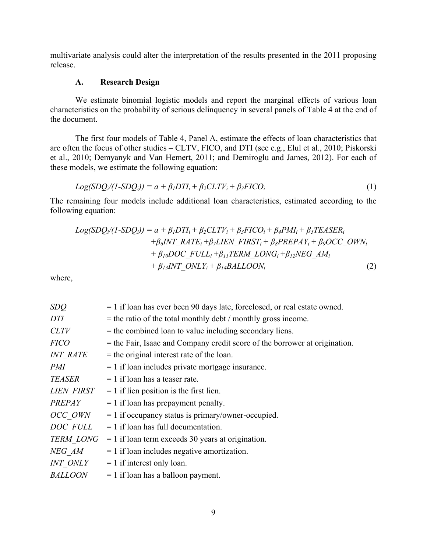multivariate analysis could alter the interpretation of the results presented in the 2011 proposing release.

### **A. Research Design**

We estimate binomial logistic models and report the marginal effects of various loan characteristics on the probability of serious delinquency in several panels of Table 4 at the end of the document.

The first four models of Table 4, Panel A, estimate the effects of loan characteristics that are often the focus of other studies – CLTV, FICO, and DTI (see e.g., Elul et al., 2010; Piskorski et al., 2010; Demyanyk and Van Hemert, 2011; and Demiroglu and James, 2012). For each of these models, we estimate the following equation:

$$
Log(SDQ_i/(1-SDQ_i)) = a + \beta_1 DTI_i + \beta_2 CLTV_i + \beta_3 FICO_i
$$
\n(1)

The remaining four models include additional loan characteristics, estimated according to the following equation:

$$
Log(SDQ_i/(1-SDQ_i)) = a + \beta_1 DTI_i + \beta_2 CLTV_i + \beta_3 FICO_i + \beta_4 PMI_i + \beta_5 TEASER_i
$$
  
+
$$
\beta_6 INT\_RATE_i + \beta_7 LIEN\_FIRST_i + \beta_8 PREPAY_i + \beta_9 OCC\_OWN_i
$$
  
+
$$
\beta_{10} DOC\_FULL_i + \beta_{11}TERM\_LONG_i + \beta_{12} NEG\_AM_i
$$
  
+
$$
\beta_{13} INT\_ONLY_i + \beta_{14} BALLOON_i
$$
 (2)

where,

| SDQ               | = 1 if loan has ever been 90 days late, foreclosed, or real estate owned.    |
|-------------------|------------------------------------------------------------------------------|
| DTI               | $=$ the ratio of the total monthly debt / monthly gross income.              |
| CLTV              | = the combined loan to value including secondary liens.                      |
| <b>FICO</b>       | $=$ the Fair, Isaac and Company credit score of the borrower at origination. |
| <b>INT RATE</b>   | $=$ the original interest rate of the loan.                                  |
| <i>PMI</i>        | $= 1$ if loan includes private mortgage insurance.                           |
| TEASER            | $= 1$ if loan has a teaser rate.                                             |
| <b>LIEN FIRST</b> | $= 1$ if lien position is the first lien.                                    |
| <b>PREPAY</b>     | $= 1$ if loan has prepayment penalty.                                        |
| OCC OWN           | $= 1$ if occupancy status is primary/owner-occupied.                         |
| DOC FULL          | $= 1$ if loan has full documentation.                                        |
| <b>TERM LONG</b>  | $= 1$ if loan term exceeds 30 years at origination.                          |
| NEG AM            | $= 1$ if loan includes negative amortization.                                |
| <b>INT ONLY</b>   | $= 1$ if interest only loan.                                                 |
| <b>BALLOON</b>    | $= 1$ if loan has a balloon payment.                                         |
|                   |                                                                              |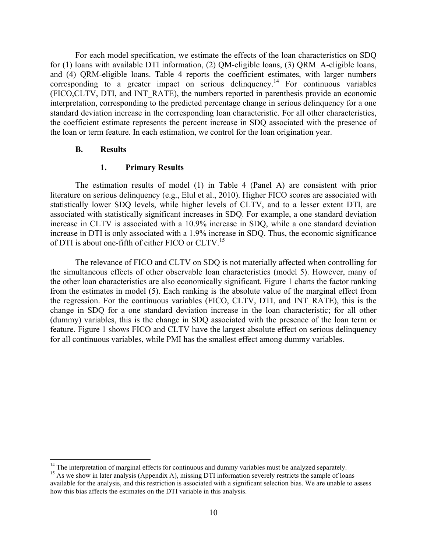For each model specification, we estimate the effects of the loan characteristics on SDQ for (1) loans with available DTI information, (2) QM-eligible loans, (3) QRM\_A-eligible loans, and (4) QRM-eligible loans. Table 4 reports the coefficient estimates, with larger numbers corresponding to a greater impact on serious delinquency.<sup>14</sup> For continuous variables (FICO,CLTV, DTI, and INT\_RATE), the numbers reported in parenthesis provide an economic interpretation, corresponding to the predicted percentage change in serious delinquency for a one standard deviation increase in the corresponding loan characteristic. For all other characteristics, the coefficient estimate represents the percent increase in SDQ associated with the presence of the loan or term feature. In each estimation, we control for the loan origination year.

#### **B. Results**

#### **1. Primary Results**

The estimation results of model (1) in Table 4 (Panel A) are consistent with prior literature on serious delinquency (e.g., Elul et al., 2010). Higher FICO scores are associated with statistically lower SDQ levels, while higher levels of CLTV, and to a lesser extent DTI, are associated with statistically significant increases in SDQ. For example, a one standard deviation increase in CLTV is associated with a 10.9% increase in SDQ, while a one standard deviation increase in DTI is only associated with a 1.9% increase in SDQ. Thus, the economic significance of DTI is about one-fifth of either FICO or CLTV.<sup>15</sup>

The relevance of FICO and CLTV on SDQ is not materially affected when controlling for the simultaneous effects of other observable loan characteristics (model 5). However, many of the other loan characteristics are also economically significant. Figure 1 charts the factor ranking from the estimates in model (5). Each ranking is the absolute value of the marginal effect from the regression. For the continuous variables (FICO, CLTV, DTI, and INT\_RATE), this is the change in SDQ for a one standard deviation increase in the loan characteristic; for all other (dummy) variables, this is the change in SDQ associated with the presence of the loan term or feature. Figure 1 shows FICO and CLTV have the largest absolute effect on serious delinquency for all continuous variables, while PMI has the smallest effect among dummy variables.

 $\overline{a}$  $14$  The interpretation of marginal effects for continuous and dummy variables must be analyzed separately.

<sup>&</sup>lt;sup>15</sup> As we show in later analysis (Appendix A), missing DTI information severely restricts the sample of loans available for the analysis, and this restriction is associated with a significant selection bias. We are unable to assess how this bias affects the estimates on the DTI variable in this analysis.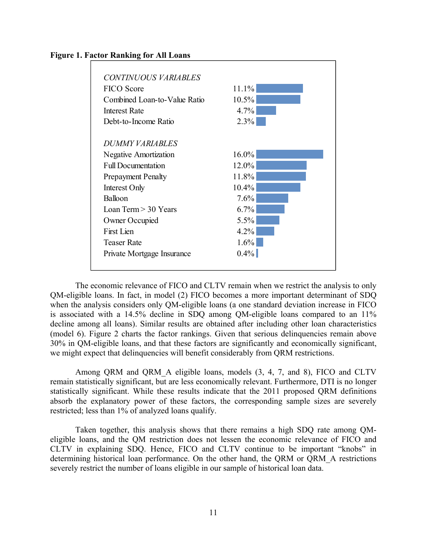



The economic relevance of FICO and CLTV remain when we restrict the analysis to only QM-eligible loans. In fact, in model (2) FICO becomes a more important determinant of SDQ when the analysis considers only QM-eligible loans (a one standard deviation increase in FICO is associated with a 14.5% decline in SDQ among QM-eligible loans compared to an 11% decline among all loans). Similar results are obtained after including other loan characteristics (model 6). Figure 2 charts the factor rankings. Given that serious delinquencies remain above 30% in QM-eligible loans, and that these factors are significantly and economically significant, we might expect that delinquencies will benefit considerably from QRM restrictions.

Among QRM and QRM\_A eligible loans, models (3, 4, 7, and 8), FICO and CLTV remain statistically significant, but are less economically relevant. Furthermore, DTI is no longer statistically significant. While these results indicate that the 2011 proposed QRM definitions absorb the explanatory power of these factors, the corresponding sample sizes are severely restricted; less than 1% of analyzed loans qualify.

Taken together, this analysis shows that there remains a high SDQ rate among QMeligible loans, and the QM restriction does not lessen the economic relevance of FICO and CLTV in explaining SDQ. Hence, FICO and CLTV continue to be important "knobs" in determining historical loan performance. On the other hand, the QRM or QRM\_A restrictions severely restrict the number of loans eligible in our sample of historical loan data.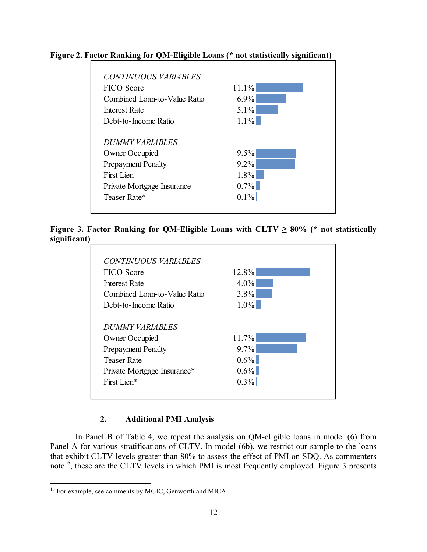

### **Figure 2. Factor Ranking for QM-Eligible Loans (\* not statistically significant)**

**Figure 3. Factor Ranking for QM-Eligible Loans with CLTV**  $\geq 80\%$  **(\* not statistically significant)**

| <b>FICO</b> Score            | 12.8%   |
|------------------------------|---------|
| Interest Rate                | $4.0\%$ |
| Combined Loan-to-Value Ratio | $3.8\%$ |
| Debt-to-Income Ratio         | $1.0\%$ |
| DUMMY VARIABLES              |         |
| Owner Occupied               | 11.7%   |
| <b>Prepayment Penalty</b>    | $9.7\%$ |
| Teaser Rate                  | $0.6\%$ |
| Private Mortgage Insurance*  | $0.6\%$ |
| First Lien*                  | $0.3\%$ |

### **2. Additional PMI Analysis**

In Panel B of Table 4, we repeat the analysis on QM-eligible loans in model (6) from Panel A for various stratifications of CLTV. In model (6b), we restrict our sample to the loans that exhibit CLTV levels greater than 80% to assess the effect of PMI on SDQ. As commenters note<sup>16</sup>, these are the CLTV levels in which PMI is most frequently employed. Figure 3 presents

 $\overline{a}$ <sup>16</sup> For example, see comments by MGIC, Genworth and MICA.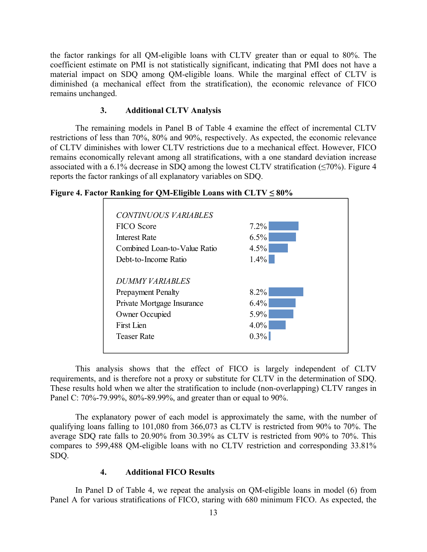the factor rankings for all QM-eligible loans with CLTV greater than or equal to 80%. The coefficient estimate on PMI is not statistically significant, indicating that PMI does not have a material impact on SDQ among QM-eligible loans. While the marginal effect of CLTV is diminished (a mechanical effect from the stratification), the economic relevance of FICO remains unchanged.

### **3. Additional CLTV Analysis**

The remaining models in Panel B of Table 4 examine the effect of incremental CLTV restrictions of less than 70%, 80% and 90%, respectively. As expected, the economic relevance of CLTV diminishes with lower CLTV restrictions due to a mechanical effect. However, FICO remains economically relevant among all stratifications, with a one standard deviation increase associated with a 6.1% decrease in SDQ among the lowest CLTV stratification  $(\leq 70\%)$ . Figure 4 reports the factor rankings of all explanatory variables on SDQ.



### **Figure 4. Factor Ranking for QM-Eligible Loans with CLTV ≤ 80%**

This analysis shows that the effect of FICO is largely independent of CLTV requirements, and is therefore not a proxy or substitute for CLTV in the determination of SDQ. These results hold when we alter the stratification to include (non-overlapping) CLTV ranges in Panel C: 70%-79.99%, 80%-89.99%, and greater than or equal to 90%.

The explanatory power of each model is approximately the same, with the number of qualifying loans falling to 101,080 from 366,073 as CLTV is restricted from 90% to 70%. The average SDQ rate falls to 20.90% from 30.39% as CLTV is restricted from 90% to 70%. This compares to 599,488 QM-eligible loans with no CLTV restriction and corresponding 33.81% SDQ.

### **4. Additional FICO Results**

In Panel D of Table 4, we repeat the analysis on QM-eligible loans in model (6) from Panel A for various stratifications of FICO, staring with 680 minimum FICO. As expected, the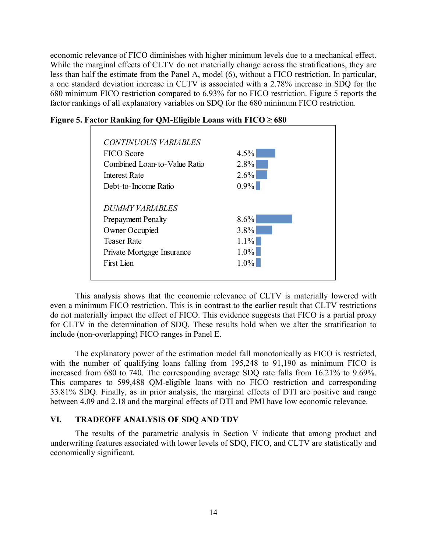economic relevance of FICO diminishes with higher minimum levels due to a mechanical effect. While the marginal effects of CLTV do not materially change across the stratifications, they are less than half the estimate from the Panel A, model (6), without a FICO restriction. In particular, a one standard deviation increase in CLTV is associated with a 2.78% increase in SDQ for the 680 minimum FICO restriction compared to 6.93% for no FICO restriction. Figure 5 reports the factor rankings of all explanatory variables on SDQ for the 680 minimum FICO restriction.



**Figure 5. Factor Ranking for QM-Eligible Loans with**  $FICO \geq 680$ 

This analysis shows that the economic relevance of CLTV is materially lowered with even a minimum FICO restriction. This is in contrast to the earlier result that CLTV restrictions do not materially impact the effect of FICO. This evidence suggests that FICO is a partial proxy for CLTV in the determination of SDQ. These results hold when we alter the stratification to include (non-overlapping) FICO ranges in Panel E.

The explanatory power of the estimation model fall monotonically as FICO is restricted, with the number of qualifying loans falling from 195,248 to 91,190 as minimum FICO is increased from 680 to 740. The corresponding average SDQ rate falls from 16.21% to 9.69%. This compares to 599,488 QM-eligible loans with no FICO restriction and corresponding 33.81% SDQ. Finally, as in prior analysis, the marginal effects of DTI are positive and range between 4.09 and 2.18 and the marginal effects of DTI and PMI have low economic relevance.

#### **VI. TRADEOFF ANALYSIS OF SDQ AND TDV**

The results of the parametric analysis in Section V indicate that among product and underwriting features associated with lower levels of SDQ, FICO, and CLTV are statistically and economically significant.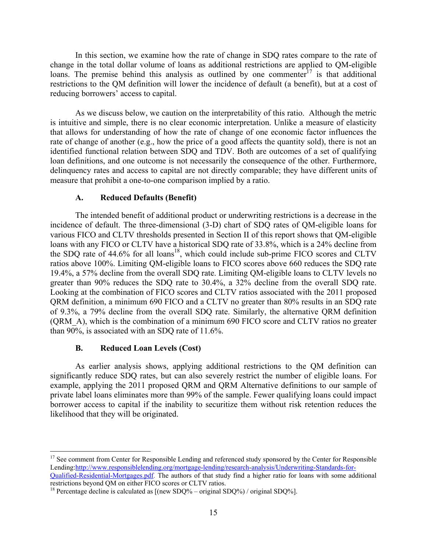In this section, we examine how the rate of change in SDQ rates compare to the rate of change in the total dollar volume of loans as additional restrictions are applied to QM-eligible loans. The premise behind this analysis as outlined by one commenter<sup>17</sup> is that additional restrictions to the QM definition will lower the incidence of default (a benefit), but at a cost of reducing borrowers' access to capital.

As we discuss below, we caution on the interpretability of this ratio. Although the metric is intuitive and simple, there is no clear economic interpretation. Unlike a measure of elasticity that allows for understanding of how the rate of change of one economic factor influences the rate of change of another (e.g., how the price of a good affects the quantity sold), there is not an identified functional relation between SDQ and TDV. Both are outcomes of a set of qualifying loan definitions, and one outcome is not necessarily the consequence of the other. Furthermore, delinquency rates and access to capital are not directly comparable; they have different units of measure that prohibit a one-to-one comparison implied by a ratio.

#### **A. Reduced Defaults (Benefit)**

The intended benefit of additional product or underwriting restrictions is a decrease in the incidence of default. The three-dimensional (3-D) chart of SDQ rates of QM-eligible loans for various FICO and CLTV thresholds presented in Section II of this report shows that QM-eligible loans with any FICO or CLTV have a historical SDQ rate of 33.8%, which is a 24% decline from the SDQ rate of  $44.6\%$  for all loans<sup>18</sup>, which could include sub-prime FICO scores and CLTV ratios above 100%. Limiting QM-eligible loans to FICO scores above 660 reduces the SDQ rate 19.4%, a 57% decline from the overall SDQ rate. Limiting QM-eligible loans to CLTV levels no greater than 90% reduces the SDQ rate to 30.4%, a 32% decline from the overall SDQ rate. Looking at the combination of FICO scores and CLTV ratios associated with the 2011 proposed QRM definition, a minimum 690 FICO and a CLTV no greater than 80% results in an SDQ rate of 9.3%, a 79% decline from the overall SDQ rate. Similarly, the alternative QRM definition (QRM\_A), which is the combination of a minimum 690 FICO score and CLTV ratios no greater than 90%, is associated with an SDQ rate of 11.6%.

### **B. Reduced Loan Levels (Cost)**

1

As earlier analysis shows, applying additional restrictions to the QM definition can significantly reduce SDQ rates, but can also severely restrict the number of eligible loans. For example, applying the 2011 proposed QRM and QRM Alternative definitions to our sample of private label loans eliminates more than 99% of the sample. Fewer qualifying loans could impact borrower access to capital if the inability to securitize them without risk retention reduces the likelihood that they will be originated.

<sup>&</sup>lt;sup>17</sup> See comment from Center for Responsible Lending and referenced study sponsored by the Center for Responsible Lending:http://www.responsiblelending.org/mortgage-lending/research-analysis/Underwriting-Standards-for-

Qualified-Residential-Mortgages.pdf. The authors of that study find a higher ratio for loans with some additional restrictions beyond QM on either FICO scores or CLTV ratios.

<sup>&</sup>lt;sup>18</sup> Percentage decline is calculated as  $[(new SDQ% - original SDQ%) / original SDQ%].$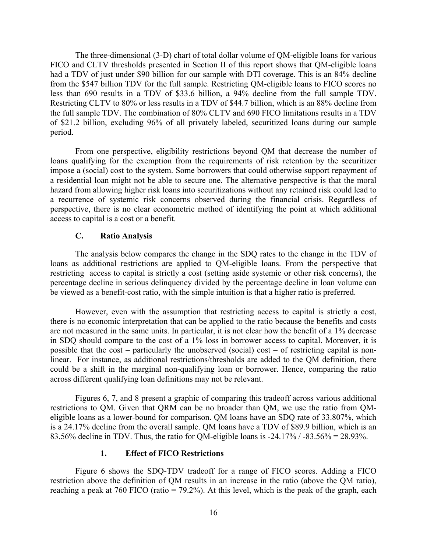The three-dimensional (3-D) chart of total dollar volume of QM-eligible loans for various FICO and CLTV thresholds presented in Section II of this report shows that QM-eligible loans had a TDV of just under \$90 billion for our sample with DTI coverage. This is an 84% decline from the \$547 billion TDV for the full sample. Restricting QM-eligible loans to FICO scores no less than 690 results in a TDV of \$33.6 billion, a 94% decline from the full sample TDV. Restricting CLTV to 80% or less results in a TDV of \$44.7 billion, which is an 88% decline from the full sample TDV. The combination of 80% CLTV and 690 FICO limitations results in a TDV of \$21.2 billion, excluding 96% of all privately labeled, securitized loans during our sample period.

From one perspective, eligibility restrictions beyond QM that decrease the number of loans qualifying for the exemption from the requirements of risk retention by the securitizer impose a (social) cost to the system. Some borrowers that could otherwise support repayment of a residential loan might not be able to secure one. The alternative perspective is that the moral hazard from allowing higher risk loans into securitizations without any retained risk could lead to a recurrence of systemic risk concerns observed during the financial crisis. Regardless of perspective, there is no clear econometric method of identifying the point at which additional access to capital is a cost or a benefit.

#### **C. Ratio Analysis**

The analysis below compares the change in the SDQ rates to the change in the TDV of loans as additional restrictions are applied to QM-eligible loans. From the perspective that restricting access to capital is strictly a cost (setting aside systemic or other risk concerns), the percentage decline in serious delinquency divided by the percentage decline in loan volume can be viewed as a benefit-cost ratio, with the simple intuition is that a higher ratio is preferred.

However, even with the assumption that restricting access to capital is strictly a cost, there is no economic interpretation that can be applied to the ratio because the benefits and costs are not measured in the same units. In particular, it is not clear how the benefit of a 1% decrease in SDQ should compare to the cost of a 1% loss in borrower access to capital. Moreover, it is possible that the cost – particularly the unobserved (social) cost – of restricting capital is nonlinear. For instance, as additional restrictions/thresholds are added to the QM definition, there could be a shift in the marginal non-qualifying loan or borrower. Hence, comparing the ratio across different qualifying loan definitions may not be relevant.

Figures 6, 7, and 8 present a graphic of comparing this tradeoff across various additional restrictions to QM. Given that QRM can be no broader than QM, we use the ratio from QMeligible loans as a lower-bound for comparison. QM loans have an SDQ rate of 33.807%, which is a 24.17% decline from the overall sample. QM loans have a TDV of \$89.9 billion, which is an 83.56% decline in TDV. Thus, the ratio for QM-eligible loans is -24.17% / -83.56% = 28.93%.

#### **1. Effect of FICO Restrictions**

Figure 6 shows the SDQ-TDV tradeoff for a range of FICO scores. Adding a FICO restriction above the definition of QM results in an increase in the ratio (above the QM ratio), reaching a peak at 760 FICO (ratio = 79.2%). At this level, which is the peak of the graph, each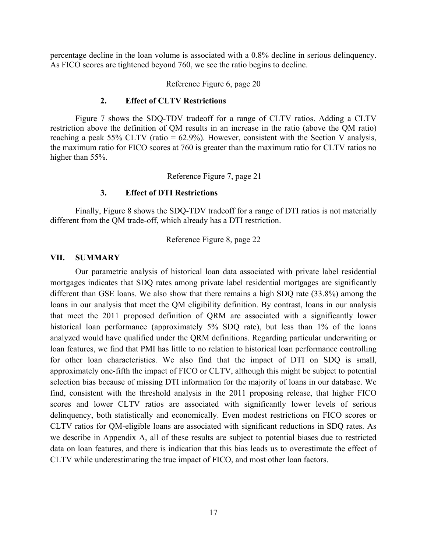percentage decline in the loan volume is associated with a 0.8% decline in serious delinquency. As FICO scores are tightened beyond 760, we see the ratio begins to decline.

Reference Figure 6, page 20

#### **2. Effect of CLTV Restrictions**

Figure 7 shows the SDQ-TDV tradeoff for a range of CLTV ratios. Adding a CLTV restriction above the definition of QM results in an increase in the ratio (above the QM ratio) reaching a peak 55% CLTV (ratio =  $62.9\%$ ). However, consistent with the Section V analysis, the maximum ratio for FICO scores at 760 is greater than the maximum ratio for CLTV ratios no higher than 55%.

Reference Figure 7, page 21

#### **3. Effect of DTI Restrictions**

Finally, Figure 8 shows the SDQ-TDV tradeoff for a range of DTI ratios is not materially different from the QM trade-off, which already has a DTI restriction.

Reference Figure 8, page 22

#### **VII. SUMMARY**

Our parametric analysis of historical loan data associated with private label residential mortgages indicates that SDQ rates among private label residential mortgages are significantly different than GSE loans. We also show that there remains a high SDQ rate (33.8%) among the loans in our analysis that meet the QM eligibility definition. By contrast, loans in our analysis that meet the 2011 proposed definition of QRM are associated with a significantly lower historical loan performance (approximately 5% SDQ rate), but less than 1% of the loans analyzed would have qualified under the QRM definitions. Regarding particular underwriting or loan features, we find that PMI has little to no relation to historical loan performance controlling for other loan characteristics. We also find that the impact of DTI on SDQ is small, approximately one-fifth the impact of FICO or CLTV, although this might be subject to potential selection bias because of missing DTI information for the majority of loans in our database. We find, consistent with the threshold analysis in the 2011 proposing release, that higher FICO scores and lower CLTV ratios are associated with significantly lower levels of serious delinquency, both statistically and economically. Even modest restrictions on FICO scores or CLTV ratios for QM-eligible loans are associated with significant reductions in SDQ rates. As we describe in Appendix A, all of these results are subject to potential biases due to restricted data on loan features, and there is indication that this bias leads us to overestimate the effect of CLTV while underestimating the true impact of FICO, and most other loan factors.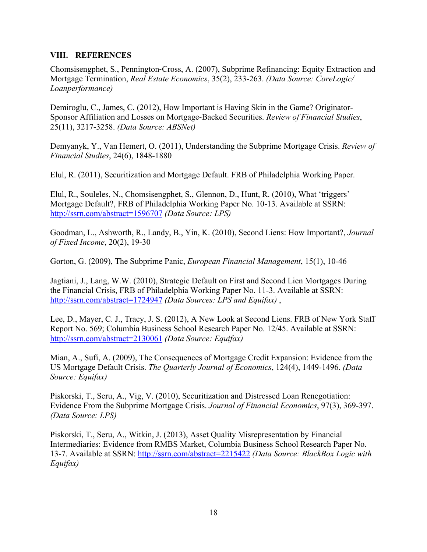### **VIII. REFERENCES**

Chomsisengphet, S., Pennington‐Cross, A. (2007), Subprime Refinancing: Equity Extraction and Mortgage Termination, *Real Estate Economics*, 35(2), 233-263. *(Data Source: CoreLogic/ Loanperformance)*

Demiroglu, C., James, C. (2012), How Important is Having Skin in the Game? Originator-Sponsor Affiliation and Losses on Mortgage-Backed Securities. *Review of Financial Studies*, 25(11), 3217-3258. *(Data Source: ABSNet)*

Demyanyk, Y., Van Hemert, O. (2011), Understanding the Subprime Mortgage Crisis. *Review of Financial Studies*, 24(6), 1848-1880

Elul, R. (2011), Securitization and Mortgage Default. FRB of Philadelphia Working Paper.

Elul, R., Souleles, N., Chomsisengphet, S., Glennon, D., Hunt, R. (2010), What 'triggers' Mortgage Default?, FRB of Philadelphia Working Paper No. 10-13. Available at SSRN: http://ssrn.com/abstract=1596707 *(Data Source: LPS)*

Goodman, L., Ashworth, R., Landy, B., Yin, K. (2010), Second Liens: How Important?, *Journal of Fixed Income*, 20(2), 19-30

Gorton, G. (2009), The Subprime Panic, *European Financial Management*, 15(1), 10-46

Jagtiani, J., Lang, W.W. (2010), Strategic Default on First and Second Lien Mortgages During the Financial Crisis, FRB of Philadelphia Working Paper No. 11-3. Available at SSRN: http://ssrn.com/abstract=1724947 *(Data Sources: LPS and Equifax)* ,

Lee, D., Mayer, C. J., Tracy, J. S. (2012), A New Look at Second Liens. FRB of New York Staff Report No. 569; Columbia Business School Research Paper No. 12/45. Available at SSRN: http://ssrn.com/abstract=2130061 *(Data Source: Equifax)*

Mian, A., Sufi, A. (2009), The Consequences of Mortgage Credit Expansion: Evidence from the US Mortgage Default Crisis. *The Quarterly Journal of Economics*, 124(4), 1449-1496. *(Data Source: Equifax)*

Piskorski, T., Seru, A., Vig, V. (2010), Securitization and Distressed Loan Renegotiation: Evidence From the Subprime Mortgage Crisis. *Journal of Financial Economics*, 97(3), 369-397. *(Data Source: LPS)* 

Piskorski, T., Seru, A., Witkin, J. (2013), Asset Quality Misrepresentation by Financial Intermediaries: Evidence from RMBS Market, Columbia Business School Research Paper No. 13-7. Available at SSRN: http://ssrn.com/abstract=2215422 *(Data Source: BlackBox Logic with Equifax)*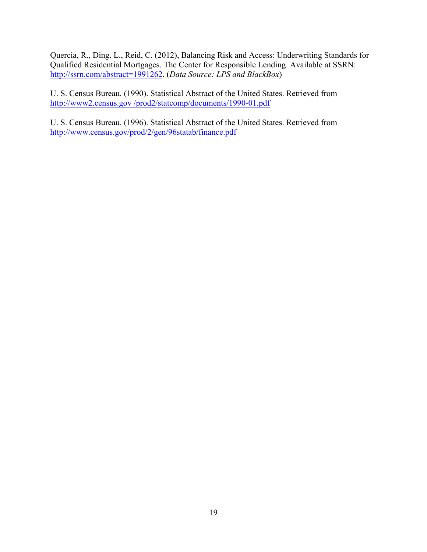Quercia, R., Ding. L., Reid, C. (2012), Balancing Risk and Access: Underwriting Standards for Qualified Residential Mortgages. The Center for Responsible Lending. Available at SSRN: http://ssrn.com/abstract=1991262. (*Data Source: LPS and BlackBox*)

U. S. Census Bureau. (1990). Statistical Abstract of the United States. Retrieved from http://www2.census.gov /prod2/statcomp/documents/1990-01.pdf

U. S. Census Bureau. (1996). Statistical Abstract of the United States. Retrieved from http://www.census.gov/prod/2/gen/96statab/finance.pdf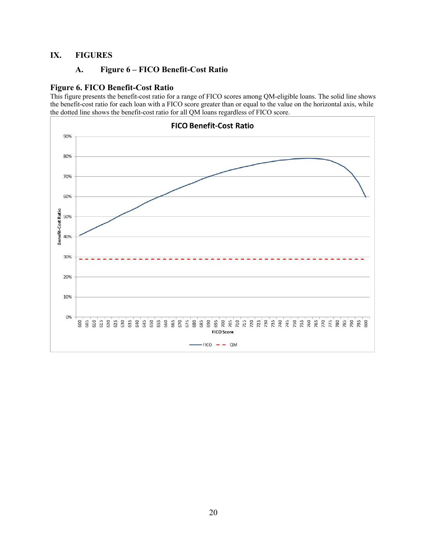### **IX. FIGURES**

### **A. Figure 6 – FICO Benefit-Cost Ratio**

#### **Figure 6. FICO Benefit-Cost Ratio**

This figure presents the benefit-cost ratio for a range of FICO scores among QM-eligible loans. The solid line shows the benefit-cost ratio for each loan with a FICO score greater than or equal to the value on the horizontal axis, while the dotted line shows the benefit-cost ratio for all QM loans regardless of FICO score.

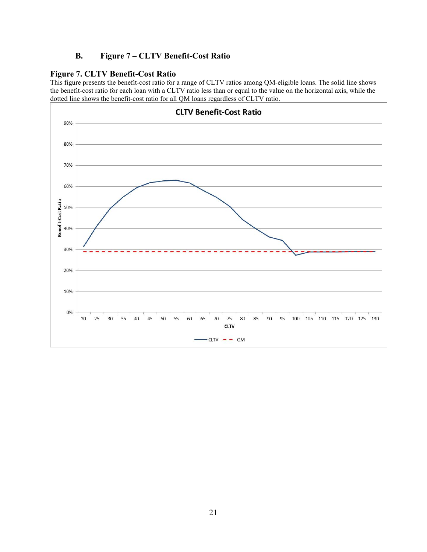### **B. Figure 7 – CLTV Benefit-Cost Ratio**

### **Figure 7. CLTV Benefit-Cost Ratio**

This figure presents the benefit-cost ratio for a range of CLTV ratios among QM-eligible loans. The solid line shows the benefit-cost ratio for each loan with a CLTV ratio less than or equal to the value on the horizontal axis, while the dotted line shows the benefit-cost ratio for all QM loans regardless of CLTV ratio.

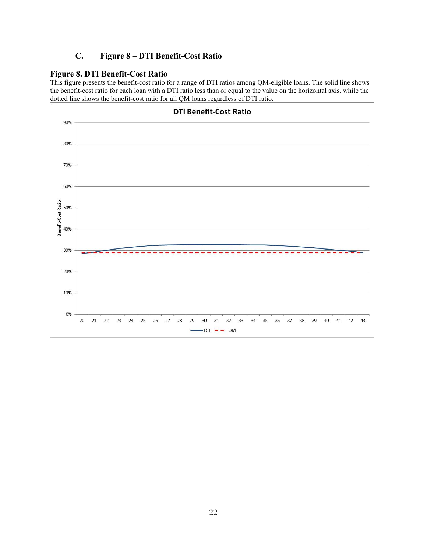### **C. Figure 8 – DTI Benefit-Cost Ratio**

#### **Figure 8. DTI Benefit-Cost Ratio**

This figure presents the benefit-cost ratio for a range of DTI ratios among QM-eligible loans. The solid line shows the benefit-cost ratio for each loan with a DTI ratio less than or equal to the value on the horizontal axis, while the dotted line shows the benefit-cost ratio for all QM loans regardless of DTI ratio.

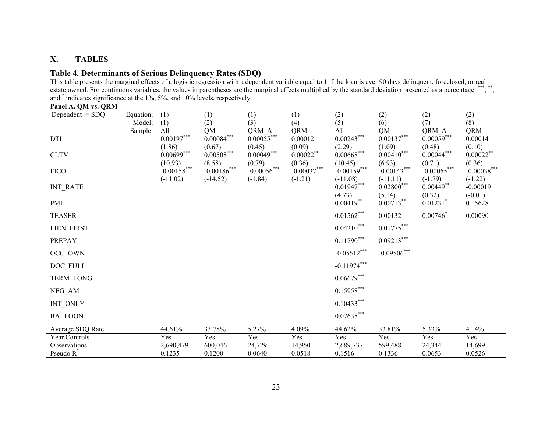#### **X.TABLES**

### **Table 4. Determinants of Serious Delinquency Rates (SDQ)**

| Panel A. QM vs. QRM |           |                     |                           |                       |                |                                 |                            |                          |                         |
|---------------------|-----------|---------------------|---------------------------|-----------------------|----------------|---------------------------------|----------------------------|--------------------------|-------------------------|
| Dependent $=$ SDQ   | Equation: | (1)                 | (1)                       | (1)                   | (1)            | (2)                             | (2)                        | (2)                      | (2)                     |
|                     | Model:    | (1)                 | (2)                       | (3)                   | (4)            | (5)                             | (6)                        | (7)                      | (8)                     |
| DTI                 | Sample:   | All<br>$0.00197***$ | <b>QM</b><br>$0.00084***$ | QRM_A<br>$0.00055***$ | QRM<br>0.00012 | All<br>$0.00243$ <sup>***</sup> | QM<br>$0.00137***$         | QRM_A<br>$0.00059***$    | <b>QRM</b><br>0.00014   |
|                     |           | (1.86)              | (0.67)                    | (0.45)                | (0.09)         | (2.29)                          | (1.09)                     | (0.48)                   | (0.10)                  |
| <b>CLTV</b>         |           | $0.00699***$        | $0.00508^{***}\,$         | $0.00049***$          | $0.00022$ **   | $0.00668^{***}\,$               | $0.00410***$               | $0.00044^{***}$          | $0.00022***$            |
|                     |           | (10.93)             | (8.58)                    | (0.79)                | (0.36)         | (10.45)                         | (6.93)                     | (0.71)                   | (0.36)                  |
| <b>FICO</b>         |           | $-0.00158$ ***      | $-0.00186$ ***            | $-0.00056$ ***        | $-0.00037***$  | $-0.00159***$                   | $-0.00143***$              | $-0.00055***$            | $-0.00038***$           |
| <b>INT_RATE</b>     |           | $(-11.02)$          | $(-14.52)$                | $(-1.84)$             | $(-1.21)$      | $(-11.08)$<br>$0.01947***$      | $(-11.11)$<br>$0.02800***$ | $(-1.79)$<br>$0.00449**$ | $(-1.22)$<br>$-0.00019$ |
|                     |           |                     |                           |                       |                | (4.73)                          | (5.14)                     | (0.32)                   | $(-0.01)$               |
| PMI                 |           |                     |                           |                       |                | $0.00419**$                     | $0.00713***$               | $0.01231$ <sup>*</sup>   | 0.15628                 |
| <b>TEASER</b>       |           |                     |                           |                       |                | $0.01562***$                    | 0.00132                    | $0.00746^*$              | 0.00090                 |
|                     |           |                     |                           |                       |                |                                 |                            |                          |                         |
| LIEN_FIRST          |           |                     |                           |                       |                | $0.04210***$                    | $0.01775***$               |                          |                         |
| PREPAY              |           |                     |                           |                       |                | $0.11790^{\ast\ast\ast}$        | $0.09213***$               |                          |                         |
| OCC_OWN             |           |                     |                           |                       |                | $-0.05512***$                   | $-0.09506***$              |                          |                         |
| DOC_FULL            |           |                     |                           |                       |                | $-0.11974***$                   |                            |                          |                         |
| TERM_LONG           |           |                     |                           |                       |                | $0.06679***$                    |                            |                          |                         |
| NEG_AM              |           |                     |                           |                       |                | $0.15958***$                    |                            |                          |                         |
| INT_ONLY            |           |                     |                           |                       |                | $0.10433***$                    |                            |                          |                         |
| <b>BALLOON</b>      |           |                     |                           |                       |                | $0.07635***$                    |                            |                          |                         |
| Average SDQ Rate    |           | 44.61%              | 33.78%                    | 5.27%                 | 4.09%          | 44.62%                          | 33.81%                     | 5.33%                    | 4.14%                   |
| Year Controls       |           | Yes                 | Yes                       | Yes                   | Yes            | Yes                             | Yes                        | Yes                      | Yes                     |
| Observations        |           | 2,690,479           | 600,046                   | 24,729                | 14,950         | 2,689,737                       | 599,488                    | 24,344                   | 14,699                  |
| Pseudo $R^2$        |           | 0.1235              | 0.1200                    | 0.0640                | 0.0518         | 0.1516                          | 0.1336                     | 0.0653                   | 0.0526                  |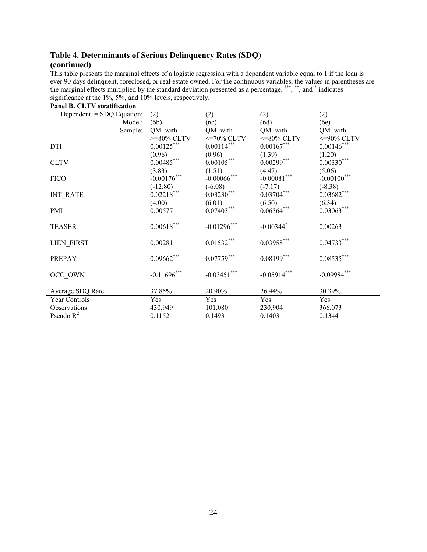| Panel B. CLTV stratification |                          |                      |                         |                    |
|------------------------------|--------------------------|----------------------|-------------------------|--------------------|
| Dependent $=$ SDQ Equation:  | (2)                      | (2)                  | (2)                     | (2)                |
| Model:                       | (6b)                     | (6c)                 | (6d)                    | (6e)               |
| Sample:                      | QM with                  | QM with              | QM with                 | QM with            |
|                              | $>=$ 80% CLTV            | $\epsilon$ =70% CLTV | $\epsilon$ =80% CLTV    | $<=90\%$ CLTV      |
| <b>DTI</b>                   | $0.00125***$             | $0.00114***$         | $0.00167***$            | $0.00146$ ***      |
|                              | (0.96)                   | (0.96)               | $(1.39)$<br>0.00299***  | (1.20)             |
| <b>CLTV</b>                  | $0.00485***$             | $0.00105***$         |                         | $0.00330***$       |
|                              | (3.83)                   | (1.51)               | (4.47)                  | (5.06)             |
| <b>FICO</b>                  | $-0.00176***$            | $-0.00066$ ***       | $-0.00081^{***}\,$      | $-0.00100^{***}$   |
|                              | $(-12.80)$<br>0.02218*** | $(-6.08)$            | $(-7.17)$               | $(-8.38)$          |
| <b>INT RATE</b>              |                          | $0.03230***$         | $0.03704***$            | $0.03682***$       |
|                              | (4.00)                   | (6.01)               | (6.50)                  | (6.34)             |
| PMI                          | 0.00577                  | $0.07403***$         | $0.06364***$            | $0.03063***$       |
|                              |                          |                      |                         |                    |
| <b>TEASER</b>                | $0.00618^{***}\,$        | $-0.01296$ ***       | $-0.00344$ <sup>*</sup> | 0.00263            |
| <b>LIEN FIRST</b>            | 0.00281                  | $0.01532***$         | $0.03958***$            | $0.04733***$       |
|                              |                          |                      |                         |                    |
| PREPAY                       | $0.09662***$             | $0.07759***$         | $0.08199***$            | $0.08535^{***}$    |
| OCC OWN                      | $-0.11696$ ***           | $-0.03451***$        | $-0.05914***$           | $-0.09984^{***}\,$ |
| Average SDQ Rate             | 37.85%                   | 20.90%               | 26.44%                  | 30.39%             |
| Year Controls                | Yes                      | Yes                  | Yes                     | Yes                |
| Observations                 | 430,949                  | 101,080              | 230,904                 | 366,073            |
| Pseudo $R^2$                 | 0.1152                   | 0.1493               | 0.1403                  | 0.1344             |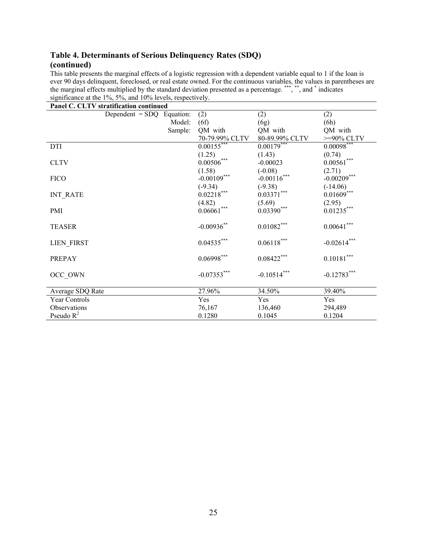|                      | Panel C. CLTV stratification continued |         |                          |                   |                            |
|----------------------|----------------------------------------|---------|--------------------------|-------------------|----------------------------|
|                      | Dependent $=$ SDQ Equation:            |         | (2)                      | (2)               | (2)                        |
|                      |                                        | Model:  | (6f)                     | (6g)              | (6h)                       |
|                      |                                        | Sample: | QM with                  | QM with           | QM with                    |
|                      |                                        |         | 70-79.99% CLTV           | 80-89.99% CLTV    | $>=90\%$ CLTV              |
| <b>DTI</b>           |                                        |         | $0.00155***$             | $0.00179***$      | $0.00098***$               |
|                      |                                        |         | (1.25)                   | (1.43)            | (0.74)                     |
| <b>CLTV</b>          |                                        |         | $0.00506^{***}$          | $-0.00023$        | $0.00561^{\ast\ast\ast}$   |
|                      |                                        |         | (1.58)                   | $(-0.08)$         | (2.71)                     |
| <b>FICO</b>          |                                        |         | $-0.00109***$            | $-0.00116$ ***    | $-0.00209***$              |
|                      |                                        |         | $(-9.34)$                | $(-9.38)$         | $(-14.06)$                 |
| <b>INT RATE</b>      |                                        |         | $0.02218***$             | $0.03371***$      | $0.01609***$               |
|                      |                                        |         | (4.82)                   | (5.69)            | (2.95)                     |
| <b>PMI</b>           |                                        |         | $0.06061***$             | $0.03390***$      | $0.01235***$               |
| <b>TEASER</b>        |                                        |         | $-0.00936$ **            | $0.01082***$      | ${0.00641}^{\ast\ast\ast}$ |
|                      |                                        |         |                          |                   |                            |
| <b>LIEN FIRST</b>    |                                        |         | $0.04535***$             | $0.06118^{***}\,$ | $-0.02614***$              |
| PREPAY               |                                        |         | $0.06998^{\ast\ast\ast}$ | $0.08422***$      | $0.10181^{\ast\ast\ast}$   |
| OCC OWN              |                                        |         | $-0.07353***$            | $-0.10514***$     | $-0.12783***$              |
| Average SDQ Rate     |                                        |         | 27.96%                   | 34.50%            | 39.40%                     |
| <b>Year Controls</b> |                                        |         | Yes                      | Yes               | Yes                        |
| Observations         |                                        |         | 76,167                   | 136,460           | 294,489                    |
| Pseudo $R^2$         |                                        |         | 0.1280                   | 0.1045            | 0.1204                     |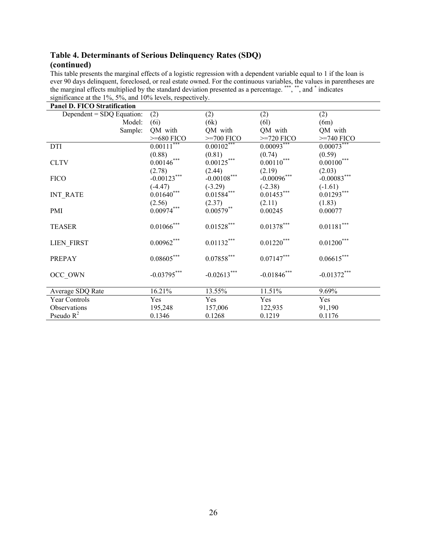| <b>Panel D. FICO Stratification</b> |                    |                                  |                 |                          |
|-------------------------------------|--------------------|----------------------------------|-----------------|--------------------------|
| Dependent = SDQ Equation:           | (2)                | (2)                              | (2)             | (2)                      |
| Model:                              | (6i)               | (6k)                             | (6l)            | (6m)                     |
| Sample:                             | QM with            | QM with                          | QM with         | QM with                  |
|                                     | $>=680$ FICO       | $>=700$ FICO                     | $>=720$ FICO    | $>=740$ FICO             |
| <b>DTI</b>                          | $0.00111***$       | $0.00102***$                     | $0.00093***$    | $0.00073***$             |
|                                     | (0.88)             | (0.81)                           | (0.74)          | (0.59)                   |
| <b>CLTV</b>                         | $0.001^{46^{***}}$ | $0.00125***$                     | $0.00110^{***}$ | $0.00100^{***}$          |
|                                     | (2.78)             | (2.44)                           | (2.19)          | (2.03)                   |
| <b>FICO</b>                         | $-0.00123***$      | $-0.00108***$                    | $-0.00096$ ***  | $-0.00083***$            |
|                                     | $(-4.47)$          | $(-3.29)$                        | $(-2.38)$       | $(-1.61)$                |
| <b>INT RATE</b>                     | $0.01640***$       | $0.015\overset{\circ}{8}4^{***}$ | $0.01453***$    | $0.01293***$             |
|                                     | (2.56)             | (2.37)                           | (2.11)          | (1.83)                   |
| PMI                                 | $0.00974***$       | $0.00579**$                      | 0.00245         | 0.00077                  |
|                                     |                    |                                  |                 |                          |
| <b>TEASER</b>                       | $0.01066^{***}\,$  | $0.01528^{***}$                  | $0.01378***$    | $0.01181^{\ast\ast\ast}$ |
| <b>LIEN FIRST</b>                   | $0.00962^{***}$    | $0.01132^{***}$                  | $0.01220***$    | $0.01200^{***}$          |
|                                     |                    |                                  |                 |                          |
| PREPAY                              | $0.08605^{***}$    | $0.07858^{\ast\ast\ast}$         | $0.07147***$    | $0.06615***$             |
| OCC OWN                             | $-0.03795***$      | $-0.02613***$                    | $-0.01846$ ***  | $-0.01372^{***}\,$       |
| Average SDQ Rate                    | 16.21%             | 13.55%                           | 11.51%          | 9.69%                    |
| Year Controls                       | Yes                | Yes                              | Yes             | Yes                      |
| Observations                        | 195,248            | 157,006                          | 122,935         | 91,190                   |
| Pseudo $R^2$                        | 0.1346             | 0.1268                           | 0.1219          | 0.1176                   |
|                                     |                    |                                  |                 |                          |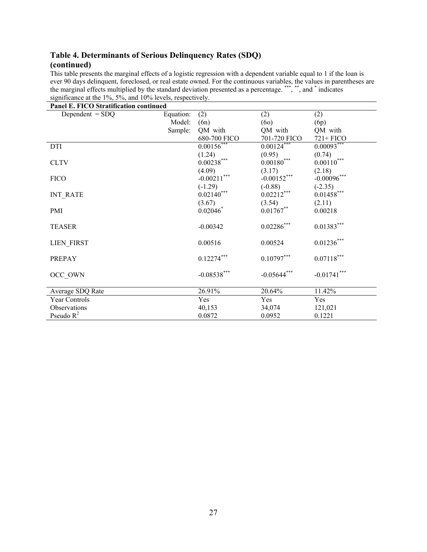| Panel E. FICO Stratification continued |           |                    |                  |                 |  |  |
|----------------------------------------|-----------|--------------------|------------------|-----------------|--|--|
| Dependent $=$ SDQ                      | Equation: | (2)                | (2)              | (2)             |  |  |
|                                        | Model:    | (6n)               | (60)             | (6p)            |  |  |
|                                        | Sample:   | QM with            | QM with          | QM with         |  |  |
|                                        |           | 680-700 FICO       | 701-720 FICO     | $721 + FICO$    |  |  |
| <b>DTI</b>                             |           | $0.00156$ ***      | $0.00124***$     | $0.00093***$    |  |  |
|                                        |           | (1.24)             | (0.95)           | (0.74)          |  |  |
| <b>CLTV</b>                            |           | $0.00238***$       | $0.00180^{***}$  | $0.00110^{***}$ |  |  |
|                                        |           | (4.09)             | (3.17)           | (2.18)          |  |  |
| <b>FICO</b>                            |           | $-0.00211^{***}\,$ | $-0.00152^{***}$ | $-0.00096$ ***  |  |  |
|                                        |           | $(-1.29)$          | $(-0.88)$        | $(-2.35)$       |  |  |
| <b>INT RATE</b>                        |           | $0.02140***$       | $0.02212***$     | $0.01458***$    |  |  |
|                                        |           | (3.67)             | (3.54)           | (2.11)          |  |  |
| <b>PMI</b>                             |           | $0.02046^*$        | $0.01767**$      | 0.00218         |  |  |
|                                        |           |                    |                  |                 |  |  |
| <b>TEASER</b>                          |           | $-0.00342$         | $0.02286^{***}$  | $0.01383***$    |  |  |
| <b>LIEN FIRST</b>                      |           | 0.00516            | 0.00524          | $0.01236^{***}$ |  |  |
|                                        |           |                    |                  |                 |  |  |
| PREPAY                                 |           | $0.12274***$       | $0.10797***$     | $0.07118***$    |  |  |
| OCC OWN                                |           | $-0.08538***$      | $-0.05644***$    | $-0.01741$ ***  |  |  |
| Average SDQ Rate                       |           | 26.91%             | 20.64%           | 11.42%          |  |  |
| <b>Year Controls</b>                   |           | Yes                | Yes              | Yes             |  |  |
| Observations                           |           | 40,153             | 34,074           | 121,021         |  |  |
| Pseudo $R^2$                           |           | 0.0872             | 0.0952           | 0.1221          |  |  |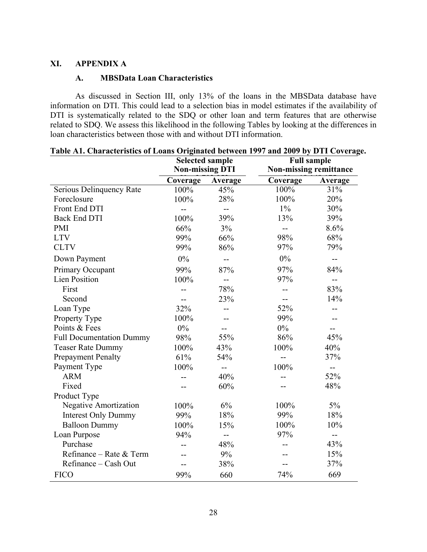### **XI. APPENDIX A**

### **A. MBSData Loan Characteristics**

As discussed in Section III, only 13% of the loans in the MBSData database have information on DTI. This could lead to a selection bias in model estimates if the availability of DTI is systematically related to the SDQ or other loan and term features that are otherwise related to SDQ. We assess this likelihood in the following Tables by looking at the differences in loan characteristics between those with and without DTI information.

|                                 | <b>Selected sample</b><br><b>Non-missing DTI</b> |                | <b>Full sample</b><br><b>Non-missing remittance</b> |              |  |
|---------------------------------|--------------------------------------------------|----------------|-----------------------------------------------------|--------------|--|
|                                 | Coverage                                         | Average        | Coverage                                            | Average      |  |
| Serious Delinquency Rate        | 100%                                             | 45%            | 100%                                                | 31%          |  |
| Foreclosure                     | 100%                                             | 28%            | 100%                                                | 20%          |  |
| Front End DTI                   | $-$                                              | --             | $1\%$                                               | 30%          |  |
| <b>Back End DTI</b>             | 100%                                             | 39%            | 13%                                                 | 39%          |  |
| <b>PMI</b>                      | 66%                                              | 3%             | $\overline{a}$                                      | 8.6%         |  |
| <b>LTV</b>                      | 99%                                              | 66%            | 98%                                                 | 68%          |  |
| <b>CLTV</b>                     | 99%                                              | 86%            | 97%                                                 | 79%          |  |
| Down Payment                    | $0\%$                                            | $\overline{a}$ | $0\%$                                               | $\mathbf{u}$ |  |
| Primary Occupant                | 99%                                              | 87%            | 97%                                                 | 84%          |  |
| <b>Lien Position</b>            | 100%                                             | $-$            | 97%                                                 | $-$          |  |
| First                           | $-$                                              | 78%            | --                                                  | 83%          |  |
| Second                          |                                                  | 23%            | $-$                                                 | 14%          |  |
| Loan Type                       | 32%                                              | $-$            | 52%                                                 | --           |  |
| Property Type                   | 100%                                             |                | 99%                                                 |              |  |
| Points & Fees                   | $0\%$                                            |                | $0\%$                                               | $-$          |  |
| <b>Full Documentation Dummy</b> | 98%                                              | 55%            | 86%                                                 | 45%          |  |
| <b>Teaser Rate Dummy</b>        | 100%                                             | 43%            | 100%                                                | 40%          |  |
| <b>Prepayment Penalty</b>       | 61%                                              | 54%            |                                                     | 37%          |  |
| Payment Type                    | 100%                                             | $-$            | 100%                                                | $- -$        |  |
| <b>ARM</b>                      | $-$                                              | 40%            | $\sim$                                              | 52%          |  |
| Fixed                           |                                                  | 60%            |                                                     | 48%          |  |
| Product Type                    |                                                  |                |                                                     |              |  |
| Negative Amortization           | 100%                                             | 6%             | 100%                                                | $5\%$        |  |
| <b>Interest Only Dummy</b>      | 99%                                              | 18%            | 99%                                                 | 18%          |  |
| <b>Balloon Dummy</b>            | 100%                                             | 15%            | 100%                                                | 10%          |  |
| Loan Purpose                    | 94%                                              | --             | 97%                                                 | $- -$        |  |
| Purchase                        | $-$                                              | 48%            | $-$                                                 | 43%          |  |
| Refinance – Rate & Term         | $-$                                              | 9%             |                                                     | 15%          |  |
| Refinance – Cash Out            | $-$                                              | 38%            | $-$                                                 | 37%          |  |
| <b>FICO</b>                     | 99%                                              | 660            | 74%                                                 | 669          |  |

|  | Table A1. Characteristics of Loans Originated between 1997 and 2009 by DTI Coverage. |  |  |  |
|--|--------------------------------------------------------------------------------------|--|--|--|
|--|--------------------------------------------------------------------------------------|--|--|--|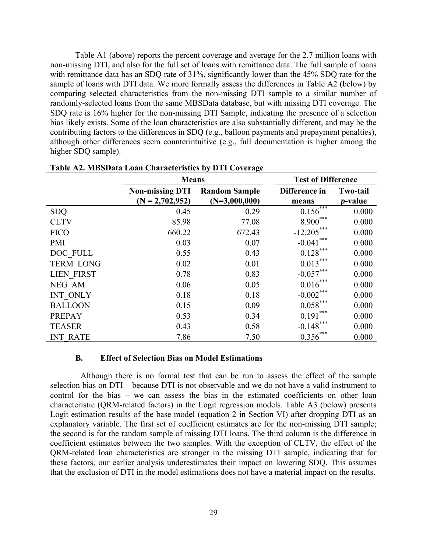Table A1 (above) reports the percent coverage and average for the 2.7 million loans with non-missing DTI, and also for the full set of loans with remittance data. The full sample of loans with remittance data has an SDQ rate of 31%, significantly lower than the 45% SDQ rate for the sample of loans with DTI data. We more formally assess the differences in Table A2 (below) by comparing selected characteristics from the non-missing DTI sample to a similar number of randomly-selected loans from the same MBSData database, but with missing DTI coverage. The SDQ rate is 16% higher for the non-missing DTI Sample, indicating the presence of a selection bias likely exists. Some of the loan characteristics are also substantially different, and may be the contributing factors to the differences in SDQ (e.g., balloon payments and prepayment penalties), although other differences seem counterintuitive (e.g., full documentation is higher among the higher SDQ sample).

|                   | <b>Means</b>                                |                                         | <b>Test of Difference</b> |                                    |  |  |
|-------------------|---------------------------------------------|-----------------------------------------|---------------------------|------------------------------------|--|--|
|                   | <b>Non-missing DTI</b><br>$(N = 2,702,952)$ | <b>Random Sample</b><br>$(N=3,000,000)$ | Difference in<br>means    | <b>Two-tail</b><br><i>p</i> -value |  |  |
| <b>SDQ</b>        | 0.45                                        | 0.29                                    | $0.156$ <sup>***</sup>    | 0.000                              |  |  |
| <b>CLTV</b>       | 85.98                                       | 77.08                                   | $8.900***$                | 0.000                              |  |  |
| <b>FICO</b>       | 660.22                                      | 672.43                                  | $-12.205***$              | 0.000                              |  |  |
| <b>PMI</b>        | 0.03                                        | 0.07                                    | $-0.041$                  | 0.000                              |  |  |
| DOC FULL          | 0.55                                        | 0.43                                    | $0.128***$                | 0.000                              |  |  |
| <b>TERM LONG</b>  | 0.02                                        | 0.01                                    | $0.013***$                | 0.000                              |  |  |
| <b>LIEN FIRST</b> | 0.78                                        | 0.83                                    | $-0.057***$               | 0.000                              |  |  |
| NEG_AM            | 0.06                                        | 0.05                                    | $0.016***$                | 0.000                              |  |  |
| INT ONLY          | 0.18                                        | 0.18                                    | $-0.002***$               | 0.000                              |  |  |
| <b>BALLOON</b>    | 0.15                                        | 0.09                                    | $0.058***$                | 0.000                              |  |  |
| <b>PREPAY</b>     | 0.53                                        | 0.34                                    | $0.191***$                | 0.000                              |  |  |
| <b>TEASER</b>     | 0.43                                        | 0.58                                    | $-0.148***$               | 0.000                              |  |  |
| <b>INT RATE</b>   | 7.86                                        | 7.50                                    | 0.356                     | 0.000                              |  |  |

|  |  |  | Table A2. MBSData Loan Characteristics by DTI Coverage |  |  |  |
|--|--|--|--------------------------------------------------------|--|--|--|
|--|--|--|--------------------------------------------------------|--|--|--|

#### **B. Effect of Selection Bias on Model Estimations**

 Although there is no formal test that can be run to assess the effect of the sample selection bias on DTI – because DTI is not observable and we do not have a valid instrument to control for the bias – we can assess the bias in the estimated coefficients on other loan characteristic (QRM-related factors) in the Logit regression models. Table A3 (below) presents Logit estimation results of the base model (equation 2 in Section VI) after dropping DTI as an explanatory variable. The first set of coefficient estimates are for the non-missing DTI sample; the second is for the random sample of missing DTI loans. The third column is the difference in coefficient estimates between the two samples. With the exception of CLTV, the effect of the QRM-related loan characteristics are stronger in the missing DTI sample, indicating that for these factors, our earlier analysis underestimates their impact on lowering SDQ. This assumes that the exclusion of DTI in the model estimations does not have a material impact on the results.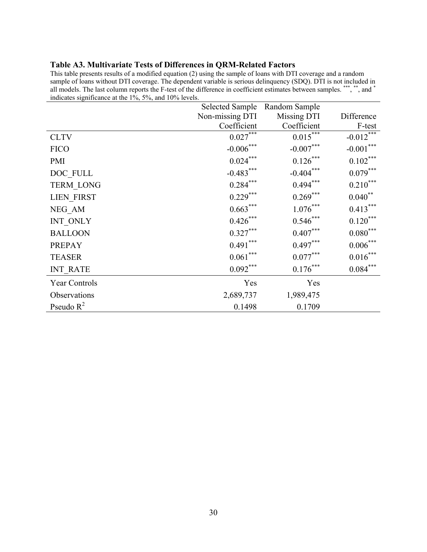### **Table A3. Multivariate Tests of Differences in QRM-Related Factors**

This table presents results of a modified equation (2) using the sample of loans with DTI coverage and a random sample of loans without DTI coverage. The dependent variable is serious delinquency (SDQ). DTI is not included in all models. The last column reports the F-test of the difference in coefficient estimates between samples. \*\*\*, \*\*, and \* indicates significance at the 1%, 5%, and 10% levels.

|                  |                 | Selected Sample Random Sample |                         |
|------------------|-----------------|-------------------------------|-------------------------|
|                  | Non-missing DTI | Missing DTI                   | Difference              |
|                  | Coefficient     | Coefficient                   | F-test                  |
| <b>CLTV</b>      | $0.027***$      | $0.015***$                    | $-0.012$ <sup>***</sup> |
| <b>FICO</b>      | $-0.006***$     | $-0.007***$                   | $-0.001***$             |
| <b>PMI</b>       | $0.024***$      | $0.126***$                    | $0.102***$              |
| DOC FULL         | $-0.483***$     | $-0.404***$                   | $0.079***$              |
| <b>TERM LONG</b> | $0.284***$      | $0.494***$                    | $0.210***$              |
| LIEN_FIRST       | $0.229***$      | $0.269***$                    | $0.040**$               |
| NEG AM           | $0.663***$      | $1.076***$                    | $0.413***$              |
| INT ONLY         | $0.426***$      | $0.546***$                    | $0.120***$              |
| <b>BALLOON</b>   | $0.327***$      | $0.407***$                    | $0.080***$              |
| <b>PREPAY</b>    | $0.491***$      | $0.497***$                    | $0.006\sp{*}^{**}$      |
| <b>TEASER</b>    | $0.061***$      | $0.077***$                    | $0.016***$              |
| <b>INT RATE</b>  | $0.092***$      | $0.176***$                    | $0.084***$              |
| Year Controls    | Yes             | Yes                           |                         |
| Observations     | 2,689,737       | 1,989,475                     |                         |
| Pseudo $R^2$     | 0.1498          | 0.1709                        |                         |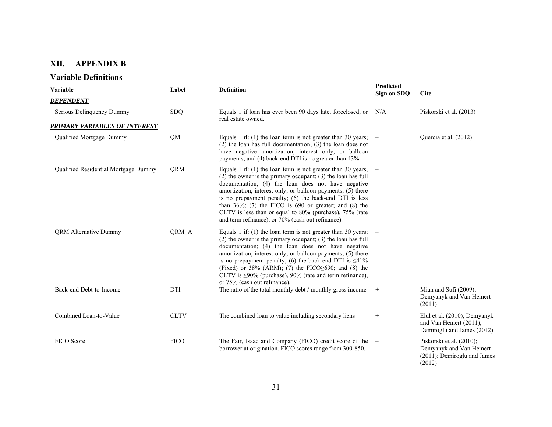#### **XII. APPENDIX B**

#### **Variable Definitions**

| Variable                             | Label       | Definition                                                                                                                                                                                                                                                                                                                                                                                                                                                                                       | Predicted<br><b>Sign on SDQ</b> | <b>Cite</b>                                                                                  |
|--------------------------------------|-------------|--------------------------------------------------------------------------------------------------------------------------------------------------------------------------------------------------------------------------------------------------------------------------------------------------------------------------------------------------------------------------------------------------------------------------------------------------------------------------------------------------|---------------------------------|----------------------------------------------------------------------------------------------|
| <b>DEPENDENT</b>                     |             |                                                                                                                                                                                                                                                                                                                                                                                                                                                                                                  |                                 |                                                                                              |
| Serious Delinquency Dummy            | <b>SDQ</b>  | Equals 1 if loan has ever been 90 days late, foreclosed, or N/A<br>real estate owned.                                                                                                                                                                                                                                                                                                                                                                                                            |                                 | Piskorski et al. (2013)                                                                      |
| <b>PRIMARY VARIABLES OF INTEREST</b> |             |                                                                                                                                                                                                                                                                                                                                                                                                                                                                                                  |                                 |                                                                                              |
| Qualified Mortgage Dummy             | QM          | Equals 1 if: (1) the loan term is not greater than 30 years; $-$<br>$(2)$ the loan has full documentation; $(3)$ the loan does not<br>have negative amortization, interest only, or balloon<br>payments; and (4) back-end DTI is no greater than 43%.                                                                                                                                                                                                                                            |                                 | Quercia et al. (2012)                                                                        |
| Qualified Residential Mortgage Dummy | <b>ORM</b>  | Equals 1 if: (1) the loan term is not greater than 30 years; $-$<br>$(2)$ the owner is the primary occupant; $(3)$ the loan has full<br>documentation; (4) the loan does not have negative<br>amortization, interest only, or balloon payments; (5) there<br>is no prepayment penalty; (6) the back-end DTI is less<br>than $36\%$ ; (7) the FICO is 690 or greater; and (8) the<br>CLTV is less than or equal to 80% (purchase), 75% (rate<br>and term refinance), or 70% (cash out refinance). |                                 |                                                                                              |
| <b>QRM</b> Alternative Dummy         | QRM A       | Equals 1 if: (1) the loan term is not greater than 30 years; $-$<br>$(2)$ the owner is the primary occupant; $(3)$ the loan has full<br>documentation; (4) the loan does not have negative<br>amortization, interest only, or balloon payments; (5) there<br>is no prepayment penalty; (6) the back-end DTI is $\leq 41\%$<br>(Fixed) or $38\%$ (ARM); (7) the FICO $\geq 690$ ; and (8) the<br>CLTV is $\leq$ 90% (purchase), 90% (rate and term refinance),<br>or 75% (cash out refinance).    |                                 |                                                                                              |
| Back-end Debt-to-Income              | DTI         | The ratio of the total monthly debt / monthly gross income                                                                                                                                                                                                                                                                                                                                                                                                                                       | $+$                             | Mian and Sufi (2009);<br>Demyanyk and Van Hemert<br>(2011)                                   |
| Combined Loan-to-Value               | <b>CLTV</b> | The combined loan to value including secondary liens                                                                                                                                                                                                                                                                                                                                                                                                                                             | $\! + \!\!\!\!$                 | Elul et al. (2010); Demyanyk<br>and Van Hemert (2011);<br>Demiroglu and James (2012)         |
| <b>FICO</b> Score                    | <b>FICO</b> | The Fair, Isaac and Company (FICO) credit score of the $-$<br>borrower at origination. FICO scores range from 300-850.                                                                                                                                                                                                                                                                                                                                                                           |                                 | Piskorski et al. (2010);<br>Demyanyk and Van Hemert<br>(2011); Demiroglu and James<br>(2012) |